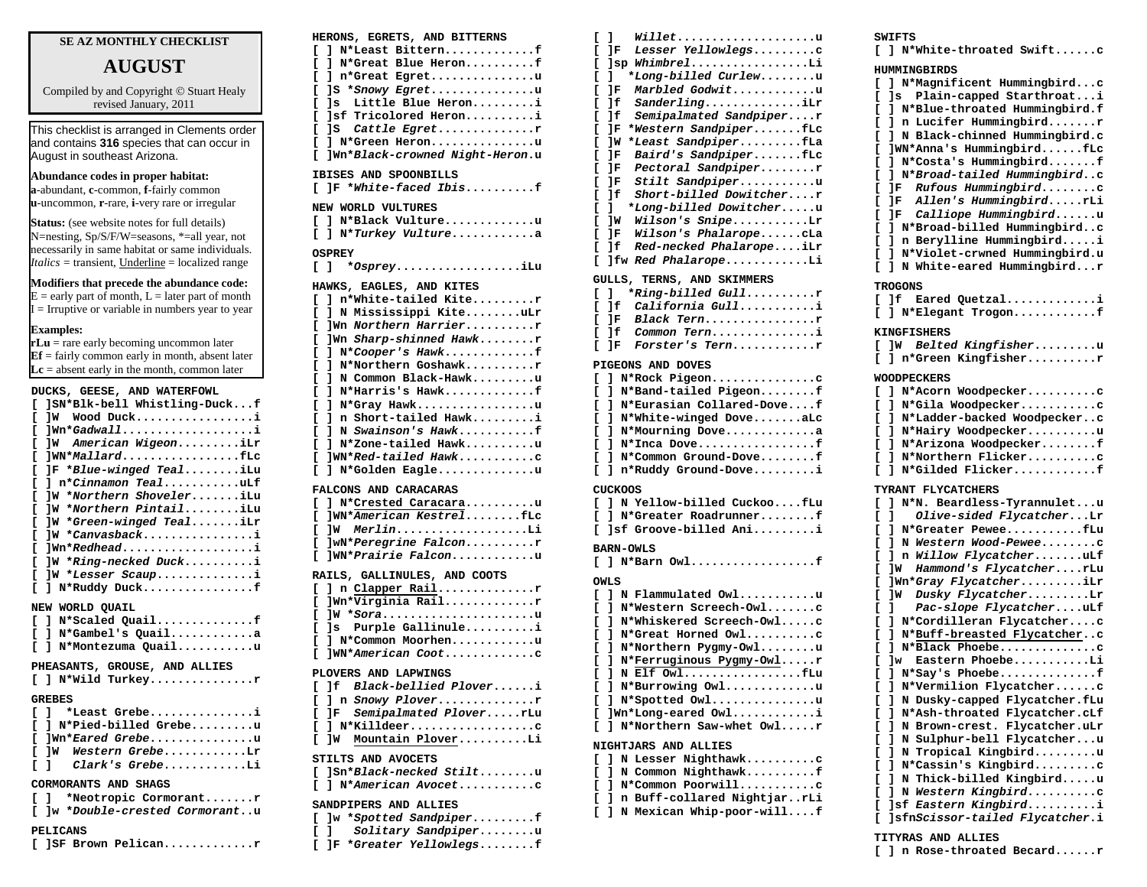## **SE AZ MONTHLY CHECKLIST**

# **AUGUST**

Compiled by and Copyright © Stuart Healy revised January, 2011

This checklist is arranged in Clements order and contains **316** species that can occur in August in southeast Arizona.

**Abundance codes in proper habitat: a**-abundant, **c**-common, **f**-fairly common **u**-uncommon, **r**-rare, **i**-very rare or irregular

**Status:** (see website notes for full details) N=nesting, Sp/S/F/W=seasons, \*=all year, not necessarily in same habitat or same individuals. *Italics* = transient, Underline = localized range

### **Modifiers that precede the abundance code:**

 $E =$  early part of month,  $L =$  later part of month  $I = Irr$ uptive or variable in numbers year to year

#### **Examples:**

**rLu** = rare early becoming uncommon later **Ef** = fairly common early in month, absent later  $\mathbf{Lc}$  = absent early in the month, common later

### **DUCKS, GEESE, AND WATERFOWL**

| DUCKS, GEESE, AND WAIERFOWL                   |
|-----------------------------------------------|
| ]SN*Blk-bell Whistling-Duckf                  |
| JW Wood Ducki                                 |
| ]Wn*Gadwalli                                  |
| ]W American WigeoniLr                         |
| IWN*MallardfLc                                |
| JF *Blue-winged TealiLu                       |
| 1 n*Cinnamon TealuLf                          |
| ]W *Northern ShoveleriLu                      |
| ]W *Northern PintailiLu                       |
| W *Green-winged TealiLr                       |
| $lw * canvashack \ldots \ldots \ldots \ldots$ |
| $lm*Redhead$                                  |
| ]W *Ring-necked Ducki                         |
| ]W *Lesser Scaupi                             |
| ] $N*Ruddy$ Duckf                             |
| NEW WORLD OUAIL                               |
| [ ] N*Scaled Quailf                           |
| [ ] N*Gambel's Quaila                         |
| ] N*Montezuma Quailu                          |
|                                               |
| PHEASANTS, GROUSE, AND ALLIES                 |
| $[ ]$ N*Wild Turkey                           |
| <b>GREBES</b>                                 |
| [ ] *Least Grebei                             |
| [ ] N*Pied-billed Grebeu                      |
|                                               |

| HERONS, EGRETS, AND BITTERNS           |
|----------------------------------------|
| N*Least Bitternf<br>c<br>1             |
| N*Great Blue Heronf<br>ı.<br>c         |
| n*Great Egretu<br>c<br>1               |
| IS *Snowy Egretu<br>c                  |
| Little Blue Heroni<br>c<br>ls.         |
| Isf Tricolored Heroni<br>c             |
| IS Cattle Egretr<br>c                  |
| ] N*Green Heronu<br>c                  |
| ]Wn*Black-crowned Night-Heron.u<br>c   |
|                                        |
| IBISES AND SPOONBILLS                  |
| ]F *White-faced Ibisf<br>L             |
| NEW WORLD VULTURES                     |
| N*Black Vultureu                       |
| Ľ<br>L                                 |
| N*Turkey Vulturea<br>$\mathbf{I}$<br>г |
| <b>OSPREY</b>                          |
| *OspreyiLu<br>L<br>Ι.                  |
|                                        |
| HAWKS, EAGLES, AND KITES               |
| n*White-tailed Kiter<br>c<br>L         |
| N Mississippi KiteuLr<br>Г<br>L        |
| ]Wn Northern Harrierr<br>г             |
| ]Wn Sharp-shinned Hawkr<br>c           |
| N*Cooper's Hawkf<br>c<br>1             |
| N*Northern Goshawkr<br>c<br>1          |
| N Common Black-Hawku<br>c<br>ı         |
| N*Harris's Hawkf<br>c<br>1             |
| N*Gray Hawku<br>c<br>ı                 |
| n Short-tailed Hawki<br>c<br>1         |
| N Swainson's Hawkf                     |
| c<br>1                                 |
| N*Zone-tailed Hawku<br>c<br>ı          |
| ]WN*Red-tailed Hawkc<br>Ľ              |
| N*Golden Eagleu<br>c<br>1              |
| FALCONS AND CARACARAS                  |
| N*Crested Caracarau<br>c<br>L          |
| ]WN*American KestrelfLc<br>c           |
| MerlinLi<br>c<br>1w                    |
| ]wN*Peregrine Falconr<br>c             |
| ]WN*Prairie Falconu<br>c               |
|                                        |
| RAILS, GALLINULES, AND COOTS           |
| n Clapper Railr<br>c<br>ı              |
| ]Wn*Virginia Railr<br>c                |
| JW *Sorau<br>г                         |
| Purple Gallinulei<br>c<br>]s           |
| N*Common Moorhenu<br>Ľ<br>L            |
| ]WN*American Cootc<br>c                |
|                                        |
| PLOVERS AND LAPWINGS                   |
| If Black-bellied Ploveri<br>Ľ          |
| ] n Snowy Ploverr<br>c                 |
| Semipalmated PloverrLu<br>c<br>1F.     |
| N*Killdeerc<br>c<br>ı                  |
| Mountain PloverLi<br>c<br>]W           |
|                                        |
| STILTS AND AVOCETS                     |
| ]Sn*Black-necked Stiltu<br>c           |
| N*American Avocetc<br>c<br>1           |
| SANDPIPERS AND ALLIES                  |
| *Spotted Sandpiperf<br>1w<br>c         |
| ı<br>Solitary Sandpiperu<br>c          |
| ]F *Greater Yellowlegsf<br>L           |
|                                        |

| г  | Willetu<br>$\mathbf{1}$                 |
|----|-----------------------------------------|
| r. | JF Lesser Yellowlegsc                   |
| Г  | ]sp WhimbrelLi                          |
| Г  | *Long-billed Curlewu<br>$\mathbf{1}$    |
| ſ  | IF Marbled Godwitu                      |
| г  | 1f SanderlingiLr                        |
| г  | ]f Semipalmated Sandpiperr              |
| Г  | *Western SandpiperfLc<br>1F             |
| г  | *Least SandpiperfLa<br>]W               |
| г  | IF Baird's SandpiperfLc                 |
| ſ  | JF Pectoral Sandpiperr                  |
| Г  | JF Stilt Sandpiperu                     |
| ſ  | 1£<br>Short-billed Dowitcherr           |
| г  | *Long-billed Dowitcheru<br>$\mathbf{1}$ |
| г  | W Wilson's SnipeLr                      |
| г  | JF Wilson's PhalaropeCLa                |
| Г  | If Red-necked PhalaropeiLr              |
| Г  | Ifw Red PhalaropeLi                     |
|    | GULLS, TERNS, AND SKIMMERS              |
|    | *Ring-billed Gullr<br>$\sqrt{1}$        |
| г  | California Gulli<br>1f                  |
| Г  | IF Black Tern                           |
| Г  | ]f Common Terni                         |
| Г  | Forster's Ternr<br>IF.                  |
|    | PIGEONS AND DOVES                       |
|    | $[ ]$ N*Rock PigeonC                    |
|    | [ ] N*Band-tailed Pigeonf               |
| Г  | 1 N*Eurasian Collared-Dovef             |
| Г  | ] N*White-winged DoveaLc                |

**[ ] N\*Mourning Dove.............a [ ] N\*Inca Dove.................f [ ] N\*Common Ground-Dove........f [ ] n\*Ruddy Ground-Dove.........i**

**[ ] N Yellow-billed Cuckoo....fLu [ ] N\*Greater Roadrunner........f [ ]sf Groove-billed Ani.........i**

**[ ] N\*Barn Owl..................f**

#### **OWLS**

**BARN-OWLS**

**CUCKOOS**

| [ ] N Flammulated Owlu       |
|------------------------------|
| [ ] N*Western Screech-Owlc   |
| [ ] N*Whiskered Screech-Owlc |
| [ ] N*Great Horned Owlc      |
| [ ] N*Northern Pygmy-Owlu    |
| [ ] N*Ferruginous Pygmy-Owlr |
| $[ ]$ N Elf OwlfLu           |
| $[ ]$ N*Burrowing Owlu       |
| [ ] N*Spotted Owlu           |
| $[$ ]Wn*Long-eared Owli      |
| I 1 N*Northern Saw-whet Owlr |
|                              |

#### **NIGHTJARS AND ALLIES**

|  | [ ] N Lesser NighthawkC         |
|--|---------------------------------|
|  | [ ] N Common Nighthawkf         |
|  | [ ] N*Common Poorwillc          |
|  | [ ] n Buff-collared NightjarrLi |
|  | [ ] N Mexican Whip-poor-willf   |

#### **SWIFTS**

**[ ] N\*White-throated Swift......c**

|   | HUMMINGBIRDS       |                                 |
|---|--------------------|---------------------------------|
| c | ı                  | N*Magnificent Hummingbirdc      |
| Ľ | ]s                 | Plain-capped Starthroati        |
| Ľ | ı                  | N*Blue-throated Hummingbird.f   |
| Ľ | ı                  | n Lucifer Hummingbirdr          |
| c | ı                  | N Black-chinned Hummingbird.c   |
|   |                    |                                 |
| c |                    | ]WN*Anna's HummingbirdfLc       |
| г | ı                  | N*Costa's Hummingbirdf          |
| c | ı                  | N*Broad-tailed Hummingbirdc     |
| c | JF                 | Rufous Hummingbirdc             |
| c | JΕ                 | Allen's HummingbirdrLi          |
| c | JF.                | Calliope Hummingbirdu           |
|   |                    |                                 |
| c | ı                  | N*Broad-billed Hummingbirdc     |
| ſ | ı                  | n Berylline Hummingbirdi        |
| c | ı                  | N*Violet-crwned Hummingbird.u   |
| D | ı                  | N White-eared Hummingbirdr      |
|   |                    |                                 |
|   | <b>TROGONS</b>     |                                 |
| c | ]f                 | Eared Quetzali                  |
| c | 1                  | N*Elegant Trogonf               |
|   |                    |                                 |
|   | <b>KINGFISHERS</b> |                                 |
| Ľ | ]W                 | Belted Kingfisheru              |
| c | 1                  |                                 |
|   |                    | n*Green Kingfisherr             |
|   | WOODPECKERS        |                                 |
| c | ı                  | N*Acorn Woodpeckerc             |
|   |                    |                                 |
| c | ı                  | N*Gila Woodpeckerc              |
| c | ı                  | N*Ladder-backed Woodpeckerc     |
| c | ı                  | N*Hairy Woodpeckeru             |
| c | ı                  | N*Arizona Woodpeckerf           |
| ſ | ı                  | N*Northern Flickerc             |
|   |                    |                                 |
| Ľ | l                  | N*Gilded Flickerf               |
|   | TYRANT FLYCATCHERS |                                 |
| c | ı                  | N*N. Beardless-Tyrannuletu      |
|   |                    |                                 |
| Ľ | ı                  | Olive-sided FlycatcherLr        |
| c | ı                  | N*Greater PeweefLu              |
| c | ı                  | N Western Wood-Peweec           |
| c | ı                  | n <i>Willow Flycatcher</i> uLf  |
| c | ]W                 | Hammond's FlycatcherrLu         |
|   |                    |                                 |
| c |                    | ]Wn* <i>Gray Flycatcher</i> iLr |
| c | ]W                 | Dusky FlycatcherLr              |
| c | ı                  | Pac-slope FlycatcheruLf         |
| c | ı                  | N*Cordilleran Flycatcherc       |
| c | ı                  | N*Buff-breasted Flycatcherc     |
|   |                    |                                 |
| c | ı                  | N*Black Phoebec                 |
| D | ]w                 | Eastern PhoebeLi                |
| c | ı                  | N*Say's Phoebef                 |
| c | ı                  | N*Vermilion Flycatcherc         |
| c | I                  | N Dusky-capped Flycatcher.fLu   |
|   |                    |                                 |
| c | 1                  | N*Ash-throated Flycatcher.cLf   |
| c | 1                  | N Brown-crest. Flycatcher.uLr   |
| c | 1<br>N             | Sulphur-bell Flycatcheru        |
| c | ı                  | N Tropical Kingbirdu            |
| c | 1                  | N*Cassin's Kingbirdc            |
| D | I                  | N Thick-billed Kingbirdu        |
|   |                    |                                 |
| Ľ | ı                  | N Western Kingbirdc             |

#### **TITYRAS AND ALLIES**

**[ ] n Rose-throated Becard......r**

**[ ]sf** *Eastern Kingbird***..........i [ ]sfn***Scissor-tailed Flycatcher***.i**

**PELICANS [ ]SF Brown Pelican.............r**

**CORMORANTS AND SHAGS**

**[ ]Wn\****Eared Grebe***...............u [ ]W** *Western Grebe***............Lr [ ]** *Clark's Grebe***............Li**

**[ ] \*Neotropic Cormorant.......r [ ]w \****Double-crested Cormorant***..u**